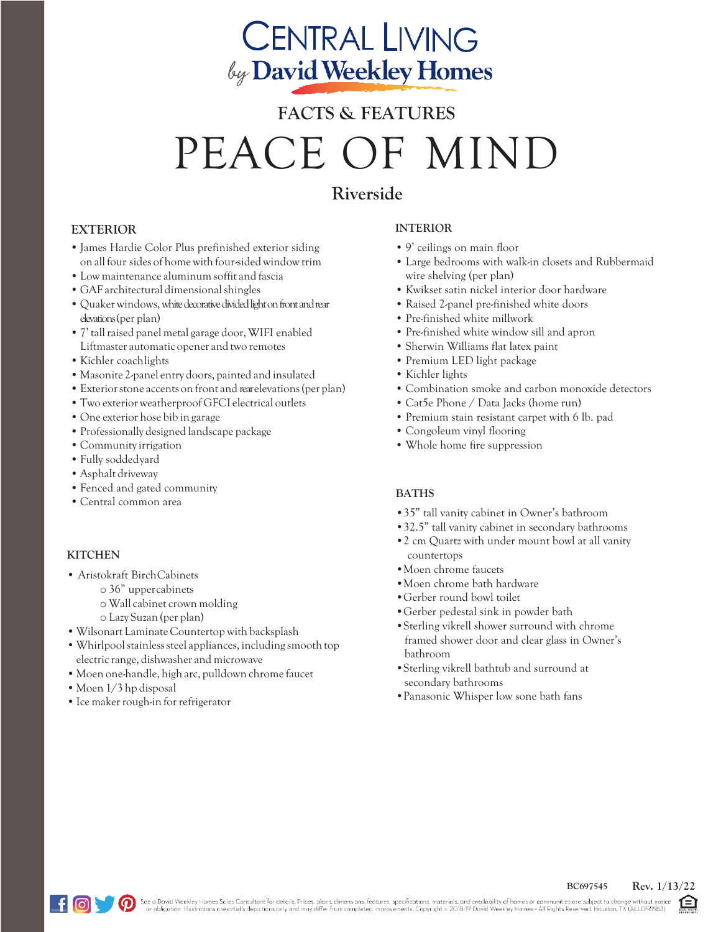## **CENTRAL LIVING** by David Weekley Homes

# **FACTS & FEATURES** PEACE OF MIND

### **Riverside**

#### **EXTERIOR**

- •James Hardie Color Plus prefinished exterior siding on allfour sides of homewith four-sidedwindow trim
- •Low maintenance aluminumsoffit and fascia
- GAF architectural dimensional shingles
- Quaker windows, white decorative divided light on front and rear elevations (per plan)
- •7' tallraised panel metal garage door,WIFI enabled Liftmaster automatic opener and two remotes
- •Kichler coachlights
- Masonite 2-panel entry doors, painted and insulated
- Exterior stone accents on front and rearelevations (per plan)
- •Two exteriorweatherproof GFCI electrical outlets
- One exterior hose bib in garage
- •Professionally designed landscape package
- Community irrigation
- •Fully soddedyard
- •Asphalt driveway
- •Fenced and gated community
- Central common area

#### **KITCHEN**

- Aristokraft BirchCabinets
	- o 36" uppercabinets
	- o Wall cabinet crown molding
	- o Lazy Suzan (per plan)
- •Wilsonart Laminate Countertop with backsplash
- Whirlpool stainless steel appliances, including smooth top electric range, dishwasher and microwave
- Moen one-handle, high arc, pulldown chrome faucet
- Moen 1/3 hp disposal
- Ice maker rough-in for refrigerator

#### **INTERIOR**

- 9' ceilings on main floor
- Large bedrooms with walk-in closets and Rubbermaid wire shelving (per plan)
- Kwikset satin nickel interior door hardware
- Raised 2-panel pre-finished white doors
- Pre-finished white millwork
- Pre-finished white window sill and apron
- Sherwin Williams flat latex paint
- Premium LED light package
- Kichler lights
- Combination smoke and carbon monoxide detectors
- Cat5e Phone / Data Jacks (home run)
- Premium stain resistant carpet with 6 lb. pad
- Congoleum vinyl flooring
- Whole home fire suppression

#### **BATHS**

- •35" tall vanity cabinet in Owner's bathroom
- •32.5" tall vanity cabinet in secondary bathrooms
- •2 cm Quartz with under mount bowl at all vanity countertops
- •Moen chrome faucets
- •Moen chrome bath hardware
- •Gerber round bowl toilet
- •Gerber pedestal sink in powder bath
- •Sterling vikrell shower surround with chrome framed shower door and clear glass in Owner's bathroom
- •Sterling vikrell bathtub and surround at secondary bathrooms
- •Panasonic Whisper low sone bath fans